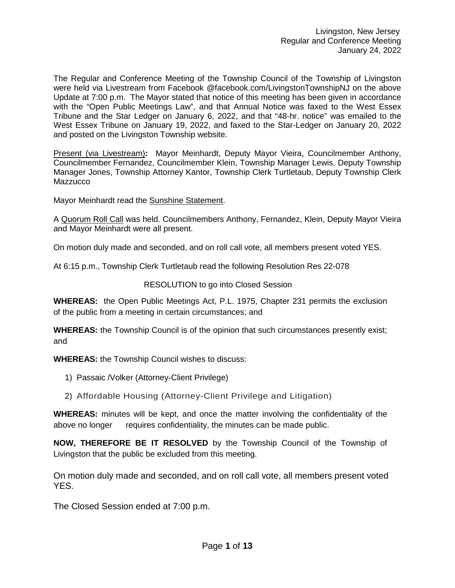The Regular and Conference Meeting of the Township Council of the Township of Livingston were held via Livestream from Facebook @facebook.com/LivingstonTownshipNJ on the above Update at 7:00 p.m. The Mayor stated that notice of this meeting has been given in accordance with the "Open Public Meetings Law", and that Annual Notice was faxed to the West Essex Tribune and the Star Ledger on January 6, 2022, and that "48-hr. notice" was emailed to the West Essex Tribune on January 19, 2022, and faxed to the Star-Ledger on January 20, 2022 and posted on the Livingston Township website.

Present (via Livestream)**:** Mayor Meinhardt, Deputy Mayor Vieira, Councilmember Anthony, Councilmember Fernandez, Councilmember Klein, Township Manager Lewis, Deputy Township Manager Jones, Township Attorney Kantor, Township Clerk Turtletaub, Deputy Township Clerk **Mazzucco** 

Mayor Meinhardt read the Sunshine Statement.

A Quorum Roll Call was held. Councilmembers Anthony, Fernandez, Klein, Deputy Mayor Vieira and Mayor Meinhardt were all present.

On motion duly made and seconded, and on roll call vote, all members present voted YES.

At 6:15 p.m., Township Clerk Turtletaub read the following Resolution Res 22-078

### RESOLUTION to go into Closed Session

**WHEREAS:** the Open Public Meetings Act, P.L. 1975, Chapter 231 permits the exclusion of the public from a meeting in certain circumstances; and

**WHEREAS:** the Township Council is of the opinion that such circumstances presently exist; and

**WHEREAS:** the Township Council wishes to discuss:

- 1) Passaic /Volker (Attorney-Client Privilege)
- 2) Affordable Housing (Attorney-Client Privilege and Litigation)

**WHEREAS:** minutes will be kept, and once the matter involving the confidentiality of the above no longer requires confidentiality, the minutes can be made public.

**NOW, THEREFORE BE IT RESOLVED** by the Township Council of the Township of Livingston that the public be excluded from this meeting.

On motion duly made and seconded, and on roll call vote, all members present voted YES.

The Closed Session ended at 7:00 p.m.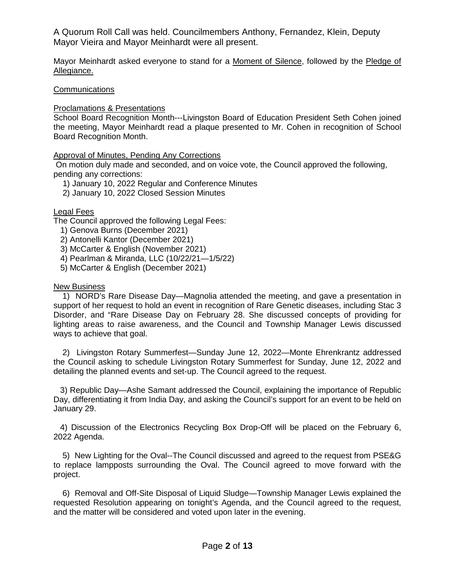A Quorum Roll Call was held. Councilmembers Anthony, Fernandez, Klein, Deputy Mayor Vieira and Mayor Meinhardt were all present.

Mayor Meinhardt asked everyone to stand for a Moment of Silence, followed by the Pledge of Allegiance.

### **Communications**

### Proclamations & Presentations

School Board Recognition Month---Livingston Board of Education President Seth Cohen joined the meeting, Mayor Meinhardt read a plaque presented to Mr. Cohen in recognition of School Board Recognition Month.

### Approval of Minutes, Pending Any Corrections

On motion duly made and seconded, and on voice vote, the Council approved the following, pending any corrections:

1) January 10, 2022 Regular and Conference Minutes

2) January 10, 2022 Closed Session Minutes

### Legal Fees

The Council approved the following Legal Fees:

- 1) Genova Burns (December 2021)
- 2) Antonelli Kantor (December 2021)
- 3) McCarter & English (November 2021)
- 4) Pearlman & Miranda, LLC (10/22/21—1/5/22)
- 5) McCarter & English (December 2021)

### New Business

 1) NORD's Rare Disease Day—Magnolia attended the meeting, and gave a presentation in support of her request to hold an event in recognition of Rare Genetic diseases, including Stac 3 Disorder, and "Rare Disease Day on February 28. She discussed concepts of providing for lighting areas to raise awareness, and the Council and Township Manager Lewis discussed ways to achieve that goal.

 2) Livingston Rotary Summerfest—Sunday June 12, 2022—Monte Ehrenkrantz addressed the Council asking to schedule Livingston Rotary Summerfest for Sunday, June 12, 2022 and detailing the planned events and set-up. The Council agreed to the request.

 3) Republic Day—Ashe Samant addressed the Council, explaining the importance of Republic Day, differentiating it from India Day, and asking the Council's support for an event to be held on January 29.

 4) Discussion of the Electronics Recycling Box Drop-Off will be placed on the February 6, 2022 Agenda.

 5) New Lighting for the Oval--The Council discussed and agreed to the request from PSE&G to replace lampposts surrounding the Oval. The Council agreed to move forward with the project.

 6) Removal and Off-Site Disposal of Liquid Sludge—Township Manager Lewis explained the requested Resolution appearing on tonight's Agenda, and the Council agreed to the request, and the matter will be considered and voted upon later in the evening.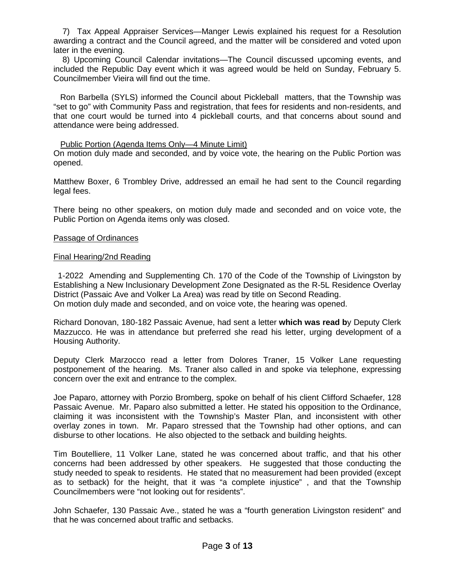7) Tax Appeal Appraiser Services—Manger Lewis explained his request for a Resolution awarding a contract and the Council agreed, and the matter will be considered and voted upon later in the evening.

 8) Upcoming Council Calendar invitations—The Council discussed upcoming events, and included the Republic Day event which it was agreed would be held on Sunday, February 5. Councilmember Vieira will find out the time.

 Ron Barbella (SYLS) informed the Council about Pickleball matters, that the Township was "set to go" with Community Pass and registration, that fees for residents and non-residents, and that one court would be turned into 4 pickleball courts, and that concerns about sound and attendance were being addressed.

### Public Portion (Agenda Items Only—4 Minute Limit)

On motion duly made and seconded, and by voice vote, the hearing on the Public Portion was opened.

Matthew Boxer, 6 Trombley Drive, addressed an email he had sent to the Council regarding legal fees.

There being no other speakers, on motion duly made and seconded and on voice vote, the Public Portion on Agenda items only was closed.

#### Passage of Ordinances

#### Final Hearing/2nd Reading

 1-2022 Amending and Supplementing Ch. 170 of the Code of the Township of Livingston by Establishing a New Inclusionary Development Zone Designated as the R-5L Residence Overlay District (Passaic Ave and Volker La Area) was read by title on Second Reading. On motion duly made and seconded, and on voice vote, the hearing was opened.

Richard Donovan, 180-182 Passaic Avenue, had sent a letter **which was read b**y Deputy Clerk Mazzucco. He was in attendance but preferred she read his letter, urging development of a Housing Authority.

Deputy Clerk Marzocco read a letter from Dolores Traner, 15 Volker Lane requesting postponement of the hearing. Ms. Traner also called in and spoke via telephone, expressing concern over the exit and entrance to the complex.

Joe Paparo, attorney with Porzio Bromberg, spoke on behalf of his client Clifford Schaefer, 128 Passaic Avenue. Mr. Paparo also submitted a letter. He stated his opposition to the Ordinance, claiming it was inconsistent with the Township's Master Plan, and inconsistent with other overlay zones in town. Mr. Paparo stressed that the Township had other options, and can disburse to other locations. He also objected to the setback and building heights.

Tim Boutelliere, 11 Volker Lane, stated he was concerned about traffic, and that his other concerns had been addressed by other speakers. He suggested that those conducting the study needed to speak to residents. He stated that no measurement had been provided (except as to setback) for the height, that it was "a complete injustice" , and that the Township Councilmembers were "not looking out for residents".

John Schaefer, 130 Passaic Ave., stated he was a "fourth generation Livingston resident" and that he was concerned about traffic and setbacks.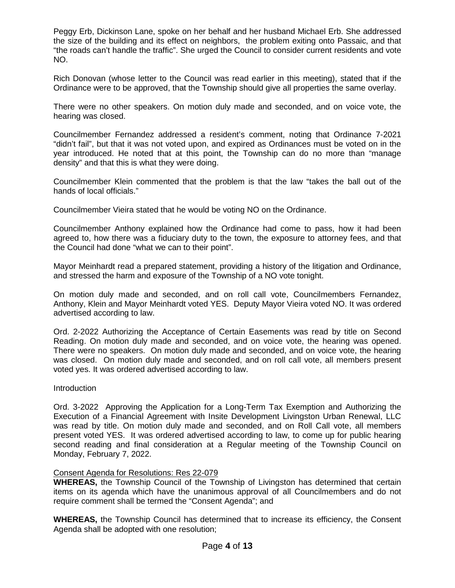Peggy Erb, Dickinson Lane, spoke on her behalf and her husband Michael Erb. She addressed the size of the building and its effect on neighbors, the problem exiting onto Passaic, and that "the roads can't handle the traffic". She urged the Council to consider current residents and vote NO.

Rich Donovan (whose letter to the Council was read earlier in this meeting), stated that if the Ordinance were to be approved, that the Township should give all properties the same overlay.

There were no other speakers. On motion duly made and seconded, and on voice vote, the hearing was closed.

Councilmember Fernandez addressed a resident's comment, noting that Ordinance 7-2021 "didn't fail", but that it was not voted upon, and expired as Ordinances must be voted on in the year introduced. He noted that at this point, the Township can do no more than "manage density" and that this is what they were doing.

Councilmember Klein commented that the problem is that the law "takes the ball out of the hands of local officials."

Councilmember Vieira stated that he would be voting NO on the Ordinance.

Councilmember Anthony explained how the Ordinance had come to pass, how it had been agreed to, how there was a fiduciary duty to the town, the exposure to attorney fees, and that the Council had done "what we can to their point".

Mayor Meinhardt read a prepared statement, providing a history of the litigation and Ordinance, and stressed the harm and exposure of the Township of a NO vote tonight.

On motion duly made and seconded, and on roll call vote, Councilmembers Fernandez, Anthony, Klein and Mayor Meinhardt voted YES. Deputy Mayor Vieira voted NO. It was ordered advertised according to law.

Ord. 2-2022 Authorizing the Acceptance of Certain Easements was read by title on Second Reading. On motion duly made and seconded, and on voice vote, the hearing was opened. There were no speakers. On motion duly made and seconded, and on voice vote, the hearing was closed. On motion duly made and seconded, and on roll call vote, all members present voted yes. It was ordered advertised according to law.

Introduction

Ord. 3-2022 Approving the Application for a Long-Term Tax Exemption and Authorizing the Execution of a Financial Agreement with Insite Development Livingston Urban Renewal, LLC was read by title. On motion duly made and seconded, and on Roll Call vote, all members present voted YES. It was ordered advertised according to law, to come up for public hearing second reading and final consideration at a Regular meeting of the Township Council on Monday, February 7, 2022.

### Consent Agenda for Resolutions: Res 22-079

**WHEREAS,** the Township Council of the Township of Livingston has determined that certain items on its agenda which have the unanimous approval of all Councilmembers and do not require comment shall be termed the "Consent Agenda"; and

**WHEREAS,** the Township Council has determined that to increase its efficiency, the Consent Agenda shall be adopted with one resolution;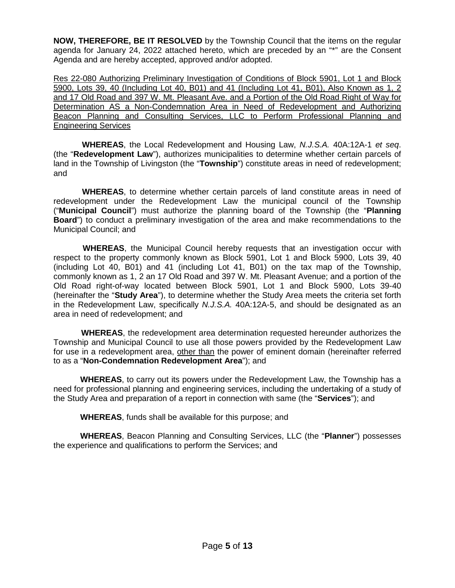**NOW, THEREFORE, BE IT RESOLVED** by the Township Council that the items on the regular agenda for January 24, 2022 attached hereto, which are preceded by an "\*" are the Consent Agenda and are hereby accepted, approved and/or adopted.

Res 22-080 Authorizing Preliminary Investigation of Conditions of Block 5901, Lot 1 and Block 5900, Lots 39, 40 (Including Lot 40, B01) and 41 (Including Lot 41, B01), Also Known as 1, 2 and 17 Old Road and 397 W. Mt. Pleasant Ave. and a Portion of the Old Road Right of Way for Determination AS a Non-Condemnation Area in Need of Redevelopment and Authorizing Beacon Planning and Consulting Services, LLC to Perform Professional Planning and Engineering Services

 **WHEREAS**, the Local Redevelopment and Housing Law, *N.J.S.A.* 40A:12A-1 *et seq*. (the "**Redevelopment Law**"), authorizes municipalities to determine whether certain parcels of land in the Township of Livingston (the "**Township**") constitute areas in need of redevelopment; and

 **WHEREAS**, to determine whether certain parcels of land constitute areas in need of redevelopment under the Redevelopment Law the municipal council of the Township ("**Municipal Council**") must authorize the planning board of the Township (the "**Planning Board**") to conduct a preliminary investigation of the area and make recommendations to the Municipal Council; and

 **WHEREAS**, the Municipal Council hereby requests that an investigation occur with respect to the property commonly known as Block 5901, Lot 1 and Block 5900, Lots 39, 40 (including Lot 40, B01) and 41 (including Lot 41, B01) on the tax map of the Township, commonly known as 1, 2 an 17 Old Road and 397 W. Mt. Pleasant Avenue; and a portion of the Old Road right-of-way located between Block 5901, Lot 1 and Block 5900, Lots 39-40 (hereinafter the "**Study Area**"), to determine whether the Study Area meets the criteria set forth in the Redevelopment Law, specifically *N.J.S.A.* 40A:12A-5, and should be designated as an area in need of redevelopment; and

 **WHEREAS**, the redevelopment area determination requested hereunder authorizes the Township and Municipal Council to use all those powers provided by the Redevelopment Law for use in a redevelopment area, other than the power of eminent domain (hereinafter referred to as a "**Non-Condemnation Redevelopment Area**"); and

**WHEREAS**, to carry out its powers under the Redevelopment Law, the Township has a need for professional planning and engineering services, including the undertaking of a study of the Study Area and preparation of a report in connection with same (the "**Services**"); and

**WHEREAS**, funds shall be available for this purpose; and

**WHEREAS**, Beacon Planning and Consulting Services, LLC (the "**Planner**") possesses the experience and qualifications to perform the Services; and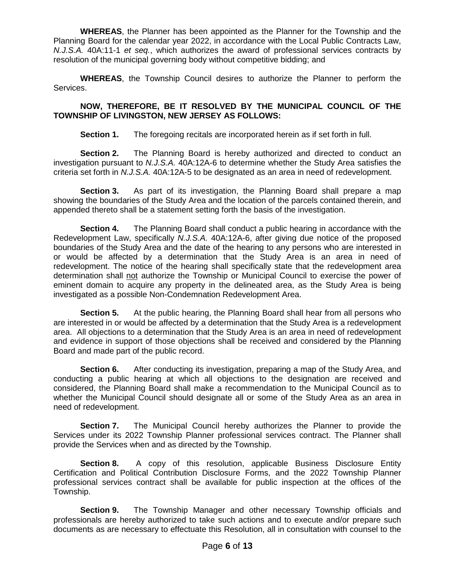**WHEREAS**, the Planner has been appointed as the Planner for the Township and the Planning Board for the calendar year 2022, in accordance with the Local Public Contracts Law, *N.J.S.A.* 40A:11-1 *et seq.*, which authorizes the award of professional services contracts by resolution of the municipal governing body without competitive bidding; and

**WHEREAS**, the Township Council desires to authorize the Planner to perform the Services.

## **NOW, THEREFORE, BE IT RESOLVED BY THE MUNICIPAL COUNCIL OF THE TOWNSHIP OF LIVINGSTON, NEW JERSEY AS FOLLOWS:**

**Section 1.** The foregoing recitals are incorporated herein as if set forth in full.

**Section 2.** The Planning Board is hereby authorized and directed to conduct an investigation pursuant to *N.J.S.A.* 40A:12A-6 to determine whether the Study Area satisfies the criteria set forth in *N.J.S.A.* 40A:12A-5 to be designated as an area in need of redevelopment.

**Section 3.** As part of its investigation, the Planning Board shall prepare a map showing the boundaries of the Study Area and the location of the parcels contained therein, and appended thereto shall be a statement setting forth the basis of the investigation.

**Section 4.** The Planning Board shall conduct a public hearing in accordance with the Redevelopment Law, specifically *N.J.S.A.* 40A:12A-6, after giving due notice of the proposed boundaries of the Study Area and the date of the hearing to any persons who are interested in or would be affected by a determination that the Study Area is an area in need of redevelopment. The notice of the hearing shall specifically state that the redevelopment area determination shall not authorize the Township or Municipal Council to exercise the power of eminent domain to acquire any property in the delineated area, as the Study Area is being investigated as a possible Non-Condemnation Redevelopment Area.

**Section 5.** At the public hearing, the Planning Board shall hear from all persons who are interested in or would be affected by a determination that the Study Area is a redevelopment area. All objections to a determination that the Study Area is an area in need of redevelopment and evidence in support of those objections shall be received and considered by the Planning Board and made part of the public record.

**Section 6.** After conducting its investigation, preparing a map of the Study Area, and conducting a public hearing at which all objections to the designation are received and considered, the Planning Board shall make a recommendation to the Municipal Council as to whether the Municipal Council should designate all or some of the Study Area as an area in need of redevelopment.

**Section 7.** The Municipal Council hereby authorizes the Planner to provide the Services under its 2022 Township Planner professional services contract. The Planner shall provide the Services when and as directed by the Township.

**Section 8.** A copy of this resolution, applicable Business Disclosure Entity Certification and Political Contribution Disclosure Forms, and the 2022 Township Planner professional services contract shall be available for public inspection at the offices of the Township.

**Section 9.** The Township Manager and other necessary Township officials and professionals are hereby authorized to take such actions and to execute and/or prepare such documents as are necessary to effectuate this Resolution, all in consultation with counsel to the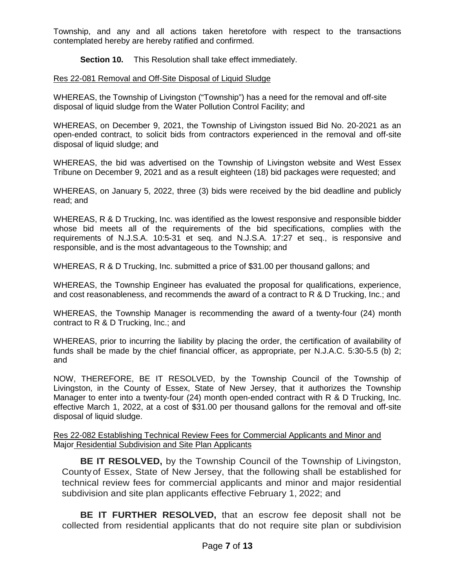Township, and any and all actions taken heretofore with respect to the transactions contemplated hereby are hereby ratified and confirmed.

**Section 10.** This Resolution shall take effect immediately.

### Res 22-081 Removal and Off-Site Disposal of Liquid Sludge

WHEREAS, the Township of Livingston ("Township") has a need for the removal and off-site disposal of liquid sludge from the Water Pollution Control Facility; and

WHEREAS, on December 9, 2021, the Township of Livingston issued Bid No. 20-2021 as an open-ended contract, to solicit bids from contractors experienced in the removal and off-site disposal of liquid sludge; and

WHEREAS, the bid was advertised on the Township of Livingston website and West Essex Tribune on December 9, 2021 and as a result eighteen (18) bid packages were requested; and

WHEREAS, on January 5, 2022, three (3) bids were received by the bid deadline and publicly read; and

WHEREAS, R & D Trucking, Inc. was identified as the lowest responsive and responsible bidder whose bid meets all of the requirements of the bid specifications, complies with the requirements of N.J.S.A. 10:5-31 et seq. and N.J.S.A. 17:27 et seq., is responsive and responsible, and is the most advantageous to the Township; and

WHEREAS, R & D Trucking, Inc. submitted a price of \$31.00 per thousand gallons; and

WHEREAS, the Township Engineer has evaluated the proposal for qualifications, experience, and cost reasonableness, and recommends the award of a contract to R & D Trucking, Inc.; and

WHEREAS, the Township Manager is recommending the award of a twenty-four (24) month contract to R & D Trucking, Inc.; and

WHEREAS, prior to incurring the liability by placing the order, the certification of availability of funds shall be made by the chief financial officer, as appropriate, per N.J.A.C. 5:30-5.5 (b) 2; and

NOW, THEREFORE, BE IT RESOLVED, by the Township Council of the Township of Livingston, in the County of Essex, State of New Jersey, that it authorizes the Township Manager to enter into a twenty-four (24) month open-ended contract with R & D Trucking, Inc. effective March 1, 2022, at a cost of \$31.00 per thousand gallons for the removal and off-site disposal of liquid sludge.

### Res 22-082 Establishing Technical Review Fees for Commercial Applicants and Minor and Major Residential Subdivision and Site Plan Applicants

**BE IT RESOLVED,** by the Township Council of the Township of Livingston, Countyof Essex, State of New Jersey, that the following shall be established for technical review fees for commercial applicants and minor and major residential subdivision and site plan applicants effective February 1, 2022; and

**BE IT FURTHER RESOLVED,** that an escrow fee deposit shall not be collected from residential applicants that do not require site plan or subdivision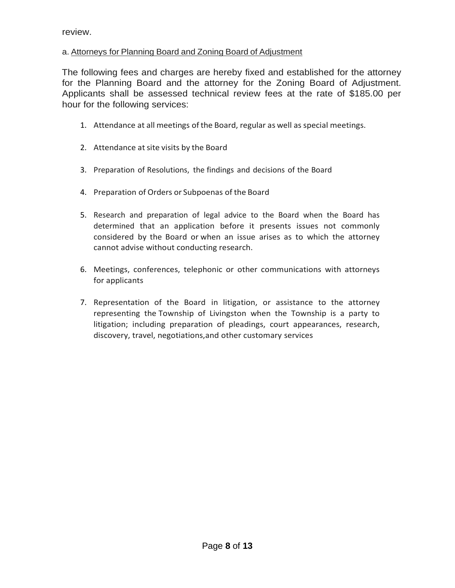review.

# a. Attorneys for Planning Board and Zoning Board of Adjustment

The following fees and charges are hereby fixed and established for the attorney for the Planning Board and the attorney for the Zoning Board of Adjustment. Applicants shall be assessed technical review fees at the rate of \$185.00 per hour for the following services:

- 1. Attendance at all meetings ofthe Board, regular as well as special meetings.
- 2. Attendance at site visits by the Board
- 3. Preparation of Resolutions, the findings and decisions of the Board
- 4. Preparation of Orders or Subpoenas of the Board
- 5. Research and preparation of legal advice to the Board when the Board has determined that an application before it presents issues not commonly considered by the Board or when an issue arises as to which the attorney cannot advise without conducting research.
- 6. Meetings, conferences, telephonic or other communications with attorneys for applicants
- 7. Representation of the Board in litigation, or assistance to the attorney representing the Township of Livingston when the Township is a party to litigation; including preparation of pleadings, court appearances, research, discovery, travel, negotiations,and other customary services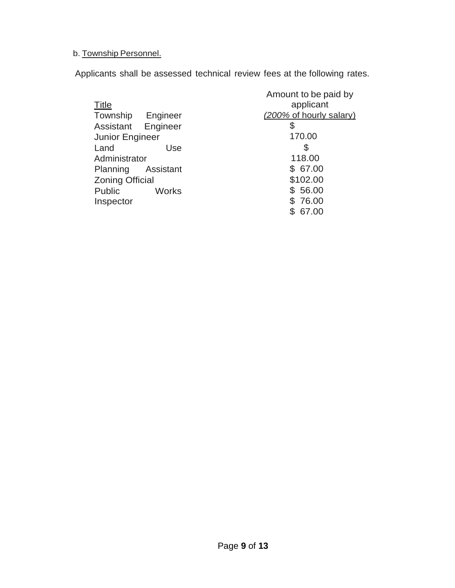# b. Township Personnel.

Applicants shall be assessed technical review fees at the following rates.

|                               | Amount to be paid by    |
|-------------------------------|-------------------------|
| <b>Title</b>                  | applicant               |
| Township Engineer             | (200% of hourly salary) |
| Assistant Engineer            | \$                      |
| Junior Engineer               | 170.00                  |
| Land<br>Use                   | S                       |
| Administrator                 | 118.00                  |
| Assistant<br>Planning         | \$67.00                 |
| <b>Zoning Official</b>        | \$102.00                |
| <b>Public</b><br><b>Works</b> | \$ 56.00                |
| Inspector                     | \$76.00                 |
|                               | 67.00                   |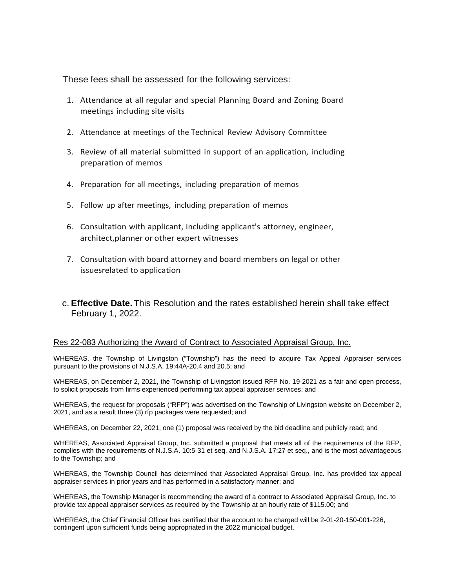These fees shall be assessed for the following services:

- 1. Attendance at all regular and special Planning Board and Zoning Board meetings including site visits
- 2. Attendance at meetings of the Technical Review Advisory Committee
- 3. Review of all material submitted in support of an application, including preparation of memos
- 4. Preparation for all meetings, including preparation of memos
- 5. Follow up after meetings, including preparation of memos
- 6. Consultation with applicant, including applicant's attorney, engineer, architect,planner or other expert witnesses
- 7. Consultation with board attorney and board members on legal or other issuesrelated to application
- c. **Effective Date.**This Resolution and the rates established herein shall take effect February 1, 2022.

### Res 22-083 Authorizing the Award of Contract to Associated Appraisal Group, Inc.

WHEREAS, the Township of Livingston ("Township") has the need to acquire Tax Appeal Appraiser services pursuant to the provisions of N.J.S.A. 19:44A-20.4 and 20.5; and

WHEREAS, on December 2, 2021, the Township of Livingston issued RFP No. 19-2021 as a fair and open process, to solicit proposals from firms experienced performing tax appeal appraiser services; and

WHEREAS, the request for proposals ("RFP") was advertised on the Township of Livingston website on December 2, 2021, and as a result three (3) rfp packages were requested; and

WHEREAS, on December 22, 2021, one (1) proposal was received by the bid deadline and publicly read; and

WHEREAS, Associated Appraisal Group, Inc. submitted a proposal that meets all of the requirements of the RFP, complies with the requirements of N.J.S.A. 10:5-31 et seq. and N.J.S.A. 17:27 et seq., and is the most advantageous to the Township; and

WHEREAS, the Township Council has determined that Associated Appraisal Group, Inc. has provided tax appeal appraiser services in prior years and has performed in a satisfactory manner; and

WHEREAS, the Township Manager is recommending the award of a contract to Associated Appraisal Group, Inc. to provide tax appeal appraiser services as required by the Township at an hourly rate of \$115.00; and

WHEREAS, the Chief Financial Officer has certified that the account to be charged will be 2-01-20-150-001-226, contingent upon sufficient funds being appropriated in the 2022 municipal budget.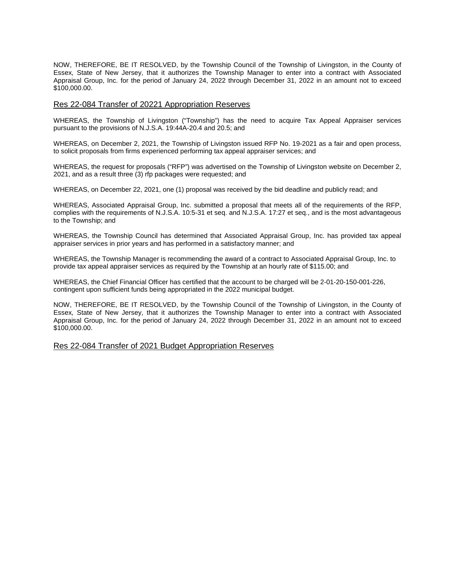NOW, THEREFORE, BE IT RESOLVED, by the Township Council of the Township of Livingston, in the County of Essex, State of New Jersey, that it authorizes the Township Manager to enter into a contract with Associated Appraisal Group, Inc. for the period of January 24, 2022 through December 31, 2022 in an amount not to exceed \$100,000.00.

#### Res 22-084 Transfer of 20221 Appropriation Reserves

WHEREAS, the Township of Livingston ("Township") has the need to acquire Tax Appeal Appraiser services pursuant to the provisions of N.J.S.A. 19:44A-20.4 and 20.5; and

WHEREAS, on December 2, 2021, the Township of Livingston issued RFP No. 19-2021 as a fair and open process, to solicit proposals from firms experienced performing tax appeal appraiser services; and

WHEREAS, the request for proposals ("RFP") was advertised on the Township of Livingston website on December 2, 2021, and as a result three (3) rfp packages were requested; and

WHEREAS, on December 22, 2021, one (1) proposal was received by the bid deadline and publicly read; and

WHEREAS, Associated Appraisal Group, Inc. submitted a proposal that meets all of the requirements of the RFP, complies with the requirements of N.J.S.A. 10:5-31 et seq. and N.J.S.A. 17:27 et seq., and is the most advantageous to the Township; and

WHEREAS, the Township Council has determined that Associated Appraisal Group, Inc. has provided tax appeal appraiser services in prior years and has performed in a satisfactory manner; and

WHEREAS, the Township Manager is recommending the award of a contract to Associated Appraisal Group, Inc. to provide tax appeal appraiser services as required by the Township at an hourly rate of \$115.00; and

WHEREAS, the Chief Financial Officer has certified that the account to be charged will be 2-01-20-150-001-226, contingent upon sufficient funds being appropriated in the 2022 municipal budget.

NOW, THEREFORE, BE IT RESOLVED, by the Township Council of the Township of Livingston, in the County of Essex, State of New Jersey, that it authorizes the Township Manager to enter into a contract with Associated Appraisal Group, Inc. for the period of January 24, 2022 through December 31, 2022 in an amount not to exceed \$100,000.00.

Res 22-084 Transfer of 2021 Budget Appropriation Reserves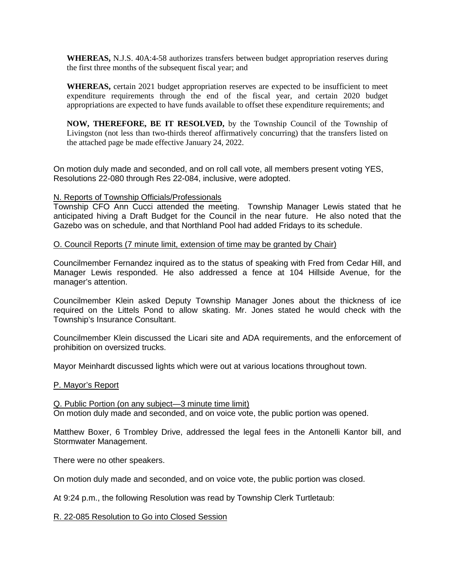**WHEREAS,** N.J.S. 40A:4-58 authorizes transfers between budget appropriation reserves during the first three months of the subsequent fiscal year; and

**WHEREAS,** certain 2021 budget appropriation reserves are expected to be insufficient to meet expenditure requirements through the end of the fiscal year, and certain 2020 budget appropriations are expected to have funds available to offset these expenditure requirements; and

**NOW, THEREFORE, BE IT RESOLVED,** by the Township Council of the Township of Livingston (not less than two-thirds thereof affirmatively concurring) that the transfers listed on the attached page be made effective January 24, 2022.

On motion duly made and seconded, and on roll call vote, all members present voting YES, Resolutions 22-080 through Res 22-084, inclusive, were adopted.

### N. Reports of Township Officials/Professionals

Township CFO Ann Cucci attended the meeting. Township Manager Lewis stated that he anticipated hiving a Draft Budget for the Council in the near future. He also noted that the Gazebo was on schedule, and that Northland Pool had added Fridays to its schedule.

### O. Council Reports (7 minute limit, extension of time may be granted by Chair)

Councilmember Fernandez inquired as to the status of speaking with Fred from Cedar Hill, and Manager Lewis responded. He also addressed a fence at 104 Hillside Avenue, for the manager's attention.

Councilmember Klein asked Deputy Township Manager Jones about the thickness of ice required on the Littels Pond to allow skating. Mr. Jones stated he would check with the Township's Insurance Consultant.

Councilmember Klein discussed the Licari site and ADA requirements, and the enforcement of prohibition on oversized trucks.

Mayor Meinhardt discussed lights which were out at various locations throughout town.

### P. Mayor's Report

Q. Public Portion (on any subject—3 minute time limit) On motion duly made and seconded, and on voice vote, the public portion was opened.

Matthew Boxer, 6 Trombley Drive, addressed the legal fees in the Antonelli Kantor bill, and Stormwater Management.

There were no other speakers.

On motion duly made and seconded, and on voice vote, the public portion was closed.

At 9:24 p.m., the following Resolution was read by Township Clerk Turtletaub:

### R. 22-085 Resolution to Go into Closed Session